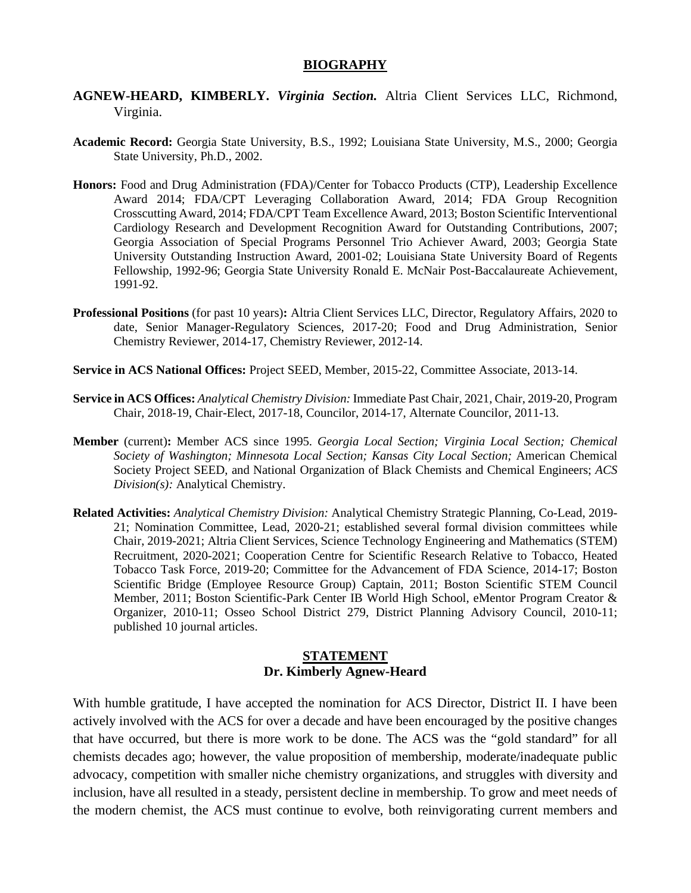## **BIOGRAPHY**

- **AGNEW-HEARD, KIMBERLY.** *Virginia Section.* Altria Client Services LLC, Richmond, Virginia.
- **Academic Record:** Georgia State University, B.S., 1992; Louisiana State University, M.S., 2000; Georgia State University, Ph.D., 2002.
- **Honors:** Food and Drug Administration (FDA)/Center for Tobacco Products (CTP), Leadership Excellence Award 2014; FDA/CPT Leveraging Collaboration Award, 2014; FDA Group Recognition Crosscutting Award, 2014; FDA/CPT Team Excellence Award, 2013; Boston Scientific Interventional Cardiology Research and Development Recognition Award for Outstanding Contributions, 2007; Georgia Association of Special Programs Personnel Trio Achiever Award, 2003; Georgia State University Outstanding Instruction Award, 2001-02; Louisiana State University Board of Regents Fellowship, 1992-96; Georgia State University Ronald E. McNair Post-Baccalaureate Achievement, 1991-92.
- **Professional Positions** (for past 10 years)**:** Altria Client Services LLC, Director, Regulatory Affairs, 2020 to date, Senior Manager-Regulatory Sciences, 2017-20; Food and Drug Administration, Senior Chemistry Reviewer, 2014-17, Chemistry Reviewer, 2012-14.
- **Service in ACS National Offices:** Project SEED, Member, 2015-22, Committee Associate, 2013-14.
- **Service in ACS Offices:** *Analytical Chemistry Division:* Immediate Past Chair, 2021, Chair, 2019-20, Program Chair, 2018-19, Chair-Elect, 2017-18, Councilor, 2014-17, Alternate Councilor, 2011-13.
- **Member** (current)**:** Member ACS since 1995. *Georgia Local Section; Virginia Local Section; Chemical Society of Washington; Minnesota Local Section; Kansas City Local Section;* American Chemical Society Project SEED, and National Organization of Black Chemists and Chemical Engineers; *ACS Division(s):* Analytical Chemistry.
- **Related Activities:** *Analytical Chemistry Division:* Analytical Chemistry Strategic Planning, Co-Lead, 2019- 21; Nomination Committee, Lead, 2020-21; established several formal division committees while Chair, 2019-2021; Altria Client Services, Science Technology Engineering and Mathematics (STEM) Recruitment, 2020-2021; Cooperation Centre for Scientific Research Relative to Tobacco, Heated Tobacco Task Force, 2019-20; Committee for the Advancement of FDA Science, 2014-17; Boston Scientific Bridge (Employee Resource Group) Captain, 2011; Boston Scientific STEM Council Member, 2011; Boston Scientific-Park Center IB World High School, eMentor Program Creator & Organizer, 2010-11; Osseo School District 279, District Planning Advisory Council, 2010-11; published 10 journal articles.

## **STATEMENT Dr. Kimberly Agnew-Heard**

With humble gratitude, I have accepted the nomination for ACS Director, District II. I have been actively involved with the ACS for over a decade and have been encouraged by the positive changes that have occurred, but there is more work to be done. The ACS was the "gold standard" for all chemists decades ago; however, the value proposition of membership, moderate/inadequate public advocacy, competition with smaller niche chemistry organizations, and struggles with diversity and inclusion, have all resulted in a steady, persistent decline in membership. To grow and meet needs of the modern chemist, the ACS must continue to evolve, both reinvigorating current members and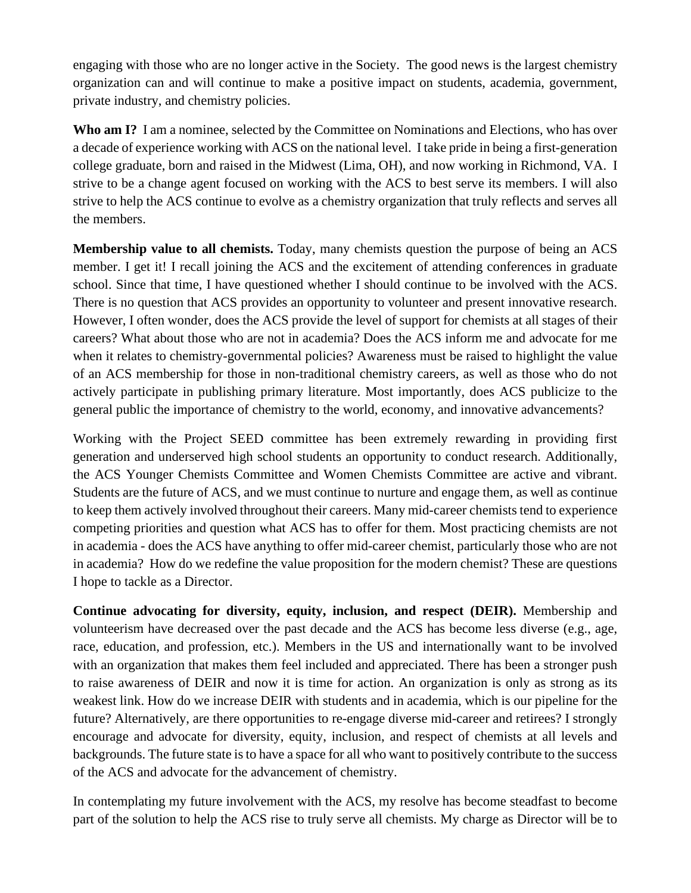engaging with those who are no longer active in the Society. The good news is the largest chemistry organization can and will continue to make a positive impact on students, academia, government, private industry, and chemistry policies.

Who am I? I am a nominee, selected by the Committee on Nominations and Elections, who has over a decade of experience working with ACS on the national level. I take pride in being a first-generation college graduate, born and raised in the Midwest (Lima, OH), and now working in Richmond, VA. I strive to be a change agent focused on working with the ACS to best serve its members. I will also strive to help the ACS continue to evolve as a chemistry organization that truly reflects and serves all the members.

**Membership value to all chemists.** Today, many chemists question the purpose of being an ACS member. I get it! I recall joining the ACS and the excitement of attending conferences in graduate school. Since that time, I have questioned whether I should continue to be involved with the ACS. There is no question that ACS provides an opportunity to volunteer and present innovative research. However, I often wonder, does the ACS provide the level of support for chemists at all stages of their careers? What about those who are not in academia? Does the ACS inform me and advocate for me when it relates to chemistry-governmental policies? Awareness must be raised to highlight the value of an ACS membership for those in non-traditional chemistry careers, as well as those who do not actively participate in publishing primary literature. Most importantly, does ACS publicize to the general public the importance of chemistry to the world, economy, and innovative advancements?

Working with the Project SEED committee has been extremely rewarding in providing first generation and underserved high school students an opportunity to conduct research. Additionally, the ACS Younger Chemists Committee and Women Chemists Committee are active and vibrant. Students are the future of ACS, and we must continue to nurture and engage them, as well as continue to keep them actively involved throughout their careers. Many mid-career chemists tend to experience competing priorities and question what ACS has to offer for them. Most practicing chemists are not in academia - does the ACS have anything to offer mid-career chemist, particularly those who are not in academia? How do we redefine the value proposition for the modern chemist? These are questions I hope to tackle as a Director.

**Continue advocating for diversity, equity, inclusion, and respect (DEIR).** Membership and volunteerism have decreased over the past decade and the ACS has become less diverse (e.g., age, race, education, and profession, etc.). Members in the US and internationally want to be involved with an organization that makes them feel included and appreciated. There has been a stronger push to raise awareness of DEIR and now it is time for action. An organization is only as strong as its weakest link. How do we increase DEIR with students and in academia, which is our pipeline for the future? Alternatively, are there opportunities to re-engage diverse mid-career and retirees? I strongly encourage and advocate for diversity, equity, inclusion, and respect of chemists at all levels and backgrounds. The future state is to have a space for all who want to positively contribute to the success of the ACS and advocate for the advancement of chemistry.

In contemplating my future involvement with the ACS, my resolve has become steadfast to become part of the solution to help the ACS rise to truly serve all chemists. My charge as Director will be to